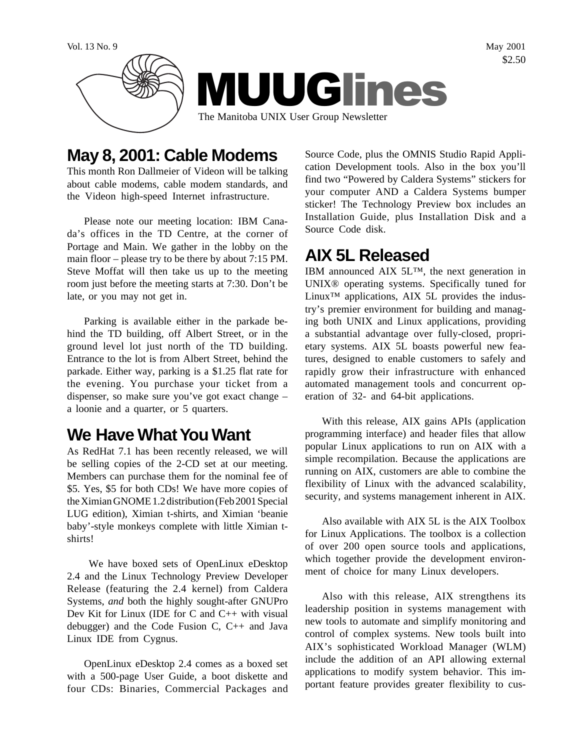

# **May 8, 2001: Cable Modems**

This month Ron Dallmeier of Videon will be talking about cable modems, cable modem standards, and the Videon high-speed Internet infrastructure.

Please note our meeting location: IBM Canada's offices in the TD Centre, at the corner of Portage and Main. We gather in the lobby on the main floor – please try to be there by about 7:15 PM. Steve Moffat will then take us up to the meeting room just before the meeting starts at 7:30. Don't be late, or you may not get in.

Parking is available either in the parkade behind the TD building, off Albert Street, or in the ground level lot just north of the TD building. Entrance to the lot is from Albert Street, behind the parkade. Either way, parking is a \$1.25 flat rate for the evening. You purchase your ticket from a dispenser, so make sure you've got exact change – a loonie and a quarter, or 5 quarters.

# **We Have What You Want**

As RedHat 7.1 has been recently released, we will be selling copies of the 2-CD set at our meeting. Members can purchase them for the nominal fee of \$5. Yes, \$5 for both CDs! We have more copies of the Ximian GNOME 1.2 distribution (Feb 2001 Special LUG edition), Ximian t-shirts, and Ximian 'beanie baby'-style monkeys complete with little Ximian tshirts!

 We have boxed sets of OpenLinux eDesktop 2.4 and the Linux Technology Preview Developer Release (featuring the 2.4 kernel) from Caldera Systems, *and* both the highly sought-after GNUPro Dev Kit for Linux (IDE for C and C++ with visual debugger) and the Code Fusion C, C++ and Java Linux IDE from Cygnus.

OpenLinux eDesktop 2.4 comes as a boxed set with a 500-page User Guide, a boot diskette and four CDs: Binaries, Commercial Packages and

Source Code, plus the OMNIS Studio Rapid Application Development tools. Also in the box you'll find two "Powered by Caldera Systems" stickers for your computer AND a Caldera Systems bumper sticker! The Technology Preview box includes an Installation Guide, plus Installation Disk and a Source Code disk.

# **AIX 5L Released**

IBM announced AIX 5L™, the next generation in UNIX® operating systems. Specifically tuned for Linux<sup>™</sup> applications, AIX 5L provides the industry's premier environment for building and managing both UNIX and Linux applications, providing a substantial advantage over fully-closed, proprietary systems. AIX 5L boasts powerful new features, designed to enable customers to safely and rapidly grow their infrastructure with enhanced automated management tools and concurrent operation of 32- and 64-bit applications.

With this release, AIX gains APIs (application programming interface) and header files that allow popular Linux applications to run on AIX with a simple recompilation. Because the applications are running on AIX, customers are able to combine the flexibility of Linux with the advanced scalability, security, and systems management inherent in AIX.

Also available with AIX 5L is the AIX Toolbox for Linux Applications. The toolbox is a collection of over 200 open source tools and applications, which together provide the development environment of choice for many Linux developers.

Also with this release, AIX strengthens its leadership position in systems management with new tools to automate and simplify monitoring and control of complex systems. New tools built into AIX's sophisticated Workload Manager (WLM) include the addition of an API allowing external applications to modify system behavior. This important feature provides greater flexibility to cus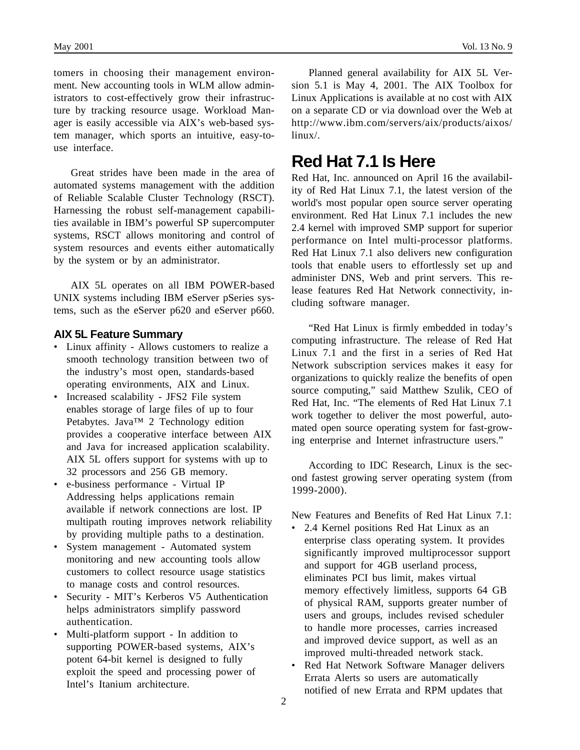tomers in choosing their management environment. New accounting tools in WLM allow administrators to cost-effectively grow their infrastructure by tracking resource usage. Workload Manager is easily accessible via AIX's web-based system manager, which sports an intuitive, easy-touse interface.

Great strides have been made in the area of automated systems management with the addition of Reliable Scalable Cluster Technology (RSCT). Harnessing the robust self-management capabilities available in IBM's powerful SP supercomputer systems, RSCT allows monitoring and control of system resources and events either automatically by the system or by an administrator.

AIX 5L operates on all IBM POWER-based UNIX systems including IBM eServer pSeries systems, such as the eServer p620 and eServer p660.

#### **AIX 5L Feature Summary**

- Linux affinity Allows customers to realize a smooth technology transition between two of the industry's most open, standards-based operating environments, AIX and Linux.
- Increased scalability JFS2 File system enables storage of large files of up to four Petabytes. Java™ 2 Technology edition provides a cooperative interface between AIX and Java for increased application scalability. AIX 5L offers support for systems with up to 32 processors and 256 GB memory.
- e-business performance Virtual IP Addressing helps applications remain available if network connections are lost. IP multipath routing improves network reliability by providing multiple paths to a destination.
- System management Automated system monitoring and new accounting tools allow customers to collect resource usage statistics to manage costs and control resources.
- Security MIT's Kerberos V5 Authentication helps administrators simplify password authentication.
- Multi-platform support In addition to supporting POWER-based systems, AIX's potent 64-bit kernel is designed to fully exploit the speed and processing power of Intel's Itanium architecture.

Planned general availability for AIX 5L Version 5.1 is May 4, 2001. The AIX Toolbox for Linux Applications is available at no cost with AIX on a separate CD or via download over the Web at http://www.ibm.com/servers/aix/products/aixos/ linux/.

#### **Red Hat 7.1 Is Here**

Red Hat, Inc. announced on April 16 the availability of Red Hat Linux 7.1, the latest version of the world's most popular open source server operating environment. Red Hat Linux 7.1 includes the new 2.4 kernel with improved SMP support for superior performance on Intel multi-processor platforms. Red Hat Linux 7.1 also delivers new configuration tools that enable users to effortlessly set up and administer DNS, Web and print servers. This release features Red Hat Network connectivity, including software manager.

"Red Hat Linux is firmly embedded in today's computing infrastructure. The release of Red Hat Linux 7.1 and the first in a series of Red Hat Network subscription services makes it easy for organizations to quickly realize the benefits of open source computing," said Matthew Szulik, CEO of Red Hat, Inc. "The elements of Red Hat Linux 7.1 work together to deliver the most powerful, automated open source operating system for fast-growing enterprise and Internet infrastructure users."

According to IDC Research, Linux is the second fastest growing server operating system (from 1999-2000).

New Features and Benefits of Red Hat Linux 7.1:

- 2.4 Kernel positions Red Hat Linux as an enterprise class operating system. It provides significantly improved multiprocessor support and support for 4GB userland process, eliminates PCI bus limit, makes virtual memory effectively limitless, supports 64 GB of physical RAM, supports greater number of users and groups, includes revised scheduler to handle more processes, carries increased and improved device support, as well as an improved multi-threaded network stack.
- Red Hat Network Software Manager delivers Errata Alerts so users are automatically notified of new Errata and RPM updates that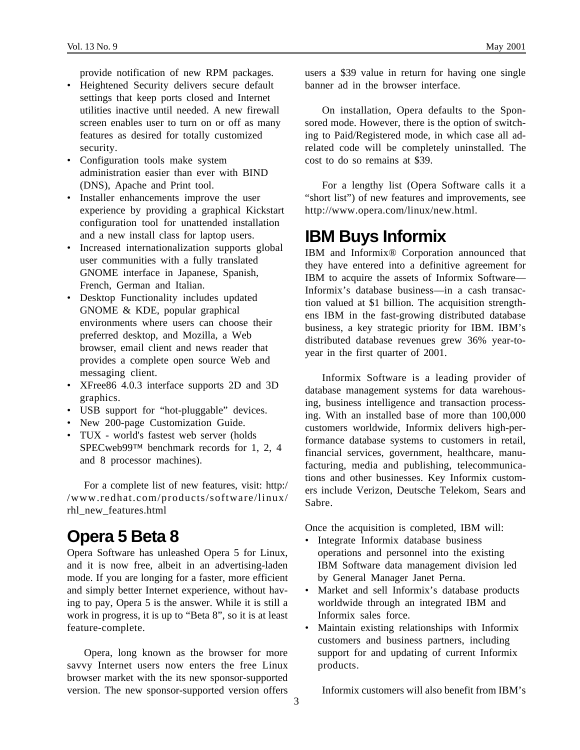provide notification of new RPM packages.

- Heightened Security delivers secure default settings that keep ports closed and Internet utilities inactive until needed. A new firewall screen enables user to turn on or off as many features as desired for totally customized security.
- Configuration tools make system administration easier than ever with BIND (DNS), Apache and Print tool.
- Installer enhancements improve the user experience by providing a graphical Kickstart configuration tool for unattended installation and a new install class for laptop users.
- Increased internationalization supports global user communities with a fully translated GNOME interface in Japanese, Spanish, French, German and Italian.
- Desktop Functionality includes updated GNOME & KDE, popular graphical environments where users can choose their preferred desktop, and Mozilla, a Web browser, email client and news reader that provides a complete open source Web and messaging client.
- XFree86 4.0.3 interface supports 2D and 3D graphics.
- USB support for "hot-pluggable" devices.
- New 200-page Customization Guide.
- TUX world's fastest web server (holds SPECweb99™ benchmark records for 1, 2, 4 and 8 processor machines).

For a complete list of new features, visit: http:/ /www.redhat.com/products/software/linux/ rhl\_new\_features.html

# **Opera 5 Beta 8**

Opera Software has unleashed Opera 5 for Linux, and it is now free, albeit in an advertising-laden mode. If you are longing for a faster, more efficient and simply better Internet experience, without having to pay, Opera 5 is the answer. While it is still a work in progress, it is up to "Beta 8", so it is at least feature-complete.

Opera, long known as the browser for more savvy Internet users now enters the free Linux browser market with the its new sponsor-supported version. The new sponsor-supported version offers users a \$39 value in return for having one single banner ad in the browser interface.

On installation, Opera defaults to the Sponsored mode. However, there is the option of switching to Paid/Registered mode, in which case all adrelated code will be completely uninstalled. The cost to do so remains at \$39.

For a lengthy list (Opera Software calls it a "short list") of new features and improvements, see http://www.opera.com/linux/new.html.

### **IBM Buys Informix**

IBM and Informix® Corporation announced that they have entered into a definitive agreement for IBM to acquire the assets of Informix Software— Informix's database business—in a cash transaction valued at \$1 billion. The acquisition strengthens IBM in the fast-growing distributed database business, a key strategic priority for IBM. IBM's distributed database revenues grew 36% year-toyear in the first quarter of 2001.

Informix Software is a leading provider of database management systems for data warehousing, business intelligence and transaction processing. With an installed base of more than 100,000 customers worldwide, Informix delivers high-performance database systems to customers in retail, financial services, government, healthcare, manufacturing, media and publishing, telecommunications and other businesses. Key Informix customers include Verizon, Deutsche Telekom, Sears and Sabre.

Once the acquisition is completed, IBM will:

- Integrate Informix database business operations and personnel into the existing IBM Software data management division led by General Manager Janet Perna.
- Market and sell Informix's database products worldwide through an integrated IBM and Informix sales force.
- Maintain existing relationships with Informix customers and business partners, including support for and updating of current Informix products.

Informix customers will also benefit from IBM's